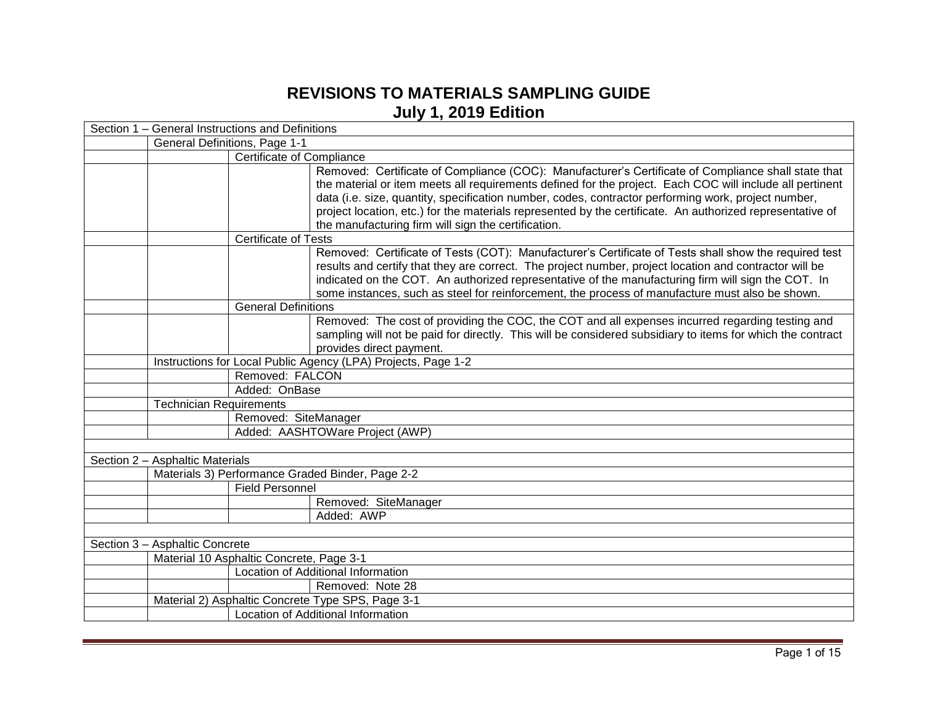## **REVISIONS TO MATERIALS SAMPLING GUIDE July 1, 2019 Edition**

|                                                   | Section 1 – General Instructions and Definitions                                                                                                                                                                                                                                                                                                                                                                                                                                           |  |  |
|---------------------------------------------------|--------------------------------------------------------------------------------------------------------------------------------------------------------------------------------------------------------------------------------------------------------------------------------------------------------------------------------------------------------------------------------------------------------------------------------------------------------------------------------------------|--|--|
|                                                   | General Definitions, Page 1-1                                                                                                                                                                                                                                                                                                                                                                                                                                                              |  |  |
|                                                   | Certificate of Compliance                                                                                                                                                                                                                                                                                                                                                                                                                                                                  |  |  |
|                                                   | Removed: Certificate of Compliance (COC): Manufacturer's Certificate of Compliance shall state that<br>the material or item meets all requirements defined for the project. Each COC will include all pertinent<br>data (i.e. size, quantity, specification number, codes, contractor performing work, project number,<br>project location, etc.) for the materials represented by the certificate. An authorized representative of<br>the manufacturing firm will sign the certification. |  |  |
| <b>Certificate of Tests</b>                       |                                                                                                                                                                                                                                                                                                                                                                                                                                                                                            |  |  |
|                                                   | Removed: Certificate of Tests (COT): Manufacturer's Certificate of Tests shall show the required test<br>results and certify that they are correct. The project number, project location and contractor will be<br>indicated on the COT. An authorized representative of the manufacturing firm will sign the COT. In<br>some instances, such as steel for reinforcement, the process of manufacture must also be shown.                                                                   |  |  |
| <b>General Definitions</b>                        |                                                                                                                                                                                                                                                                                                                                                                                                                                                                                            |  |  |
|                                                   | Removed: The cost of providing the COC, the COT and all expenses incurred regarding testing and<br>sampling will not be paid for directly. This will be considered subsidiary to items for which the contract<br>provides direct payment.                                                                                                                                                                                                                                                  |  |  |
|                                                   | Instructions for Local Public Agency (LPA) Projects, Page 1-2                                                                                                                                                                                                                                                                                                                                                                                                                              |  |  |
| Removed: FALCON                                   |                                                                                                                                                                                                                                                                                                                                                                                                                                                                                            |  |  |
| Added: OnBase                                     |                                                                                                                                                                                                                                                                                                                                                                                                                                                                                            |  |  |
| <b>Technician Requirements</b>                    |                                                                                                                                                                                                                                                                                                                                                                                                                                                                                            |  |  |
|                                                   | Removed: SiteManager                                                                                                                                                                                                                                                                                                                                                                                                                                                                       |  |  |
|                                                   | Added: AASHTOWare Project (AWP)                                                                                                                                                                                                                                                                                                                                                                                                                                                            |  |  |
|                                                   |                                                                                                                                                                                                                                                                                                                                                                                                                                                                                            |  |  |
| Section 2 - Asphaltic Materials                   |                                                                                                                                                                                                                                                                                                                                                                                                                                                                                            |  |  |
| Materials 3) Performance Graded Binder, Page 2-2  |                                                                                                                                                                                                                                                                                                                                                                                                                                                                                            |  |  |
| <b>Field Personnel</b>                            |                                                                                                                                                                                                                                                                                                                                                                                                                                                                                            |  |  |
|                                                   | Removed: SiteManager                                                                                                                                                                                                                                                                                                                                                                                                                                                                       |  |  |
|                                                   | Added: AWP                                                                                                                                                                                                                                                                                                                                                                                                                                                                                 |  |  |
|                                                   |                                                                                                                                                                                                                                                                                                                                                                                                                                                                                            |  |  |
| Section 3 - Asphaltic Concrete                    |                                                                                                                                                                                                                                                                                                                                                                                                                                                                                            |  |  |
| Material 10 Asphaltic Concrete, Page 3-1          |                                                                                                                                                                                                                                                                                                                                                                                                                                                                                            |  |  |
|                                                   | Location of Additional Information                                                                                                                                                                                                                                                                                                                                                                                                                                                         |  |  |
|                                                   | Removed: Note 28                                                                                                                                                                                                                                                                                                                                                                                                                                                                           |  |  |
| Material 2) Asphaltic Concrete Type SPS, Page 3-1 |                                                                                                                                                                                                                                                                                                                                                                                                                                                                                            |  |  |
|                                                   | Location of Additional Information                                                                                                                                                                                                                                                                                                                                                                                                                                                         |  |  |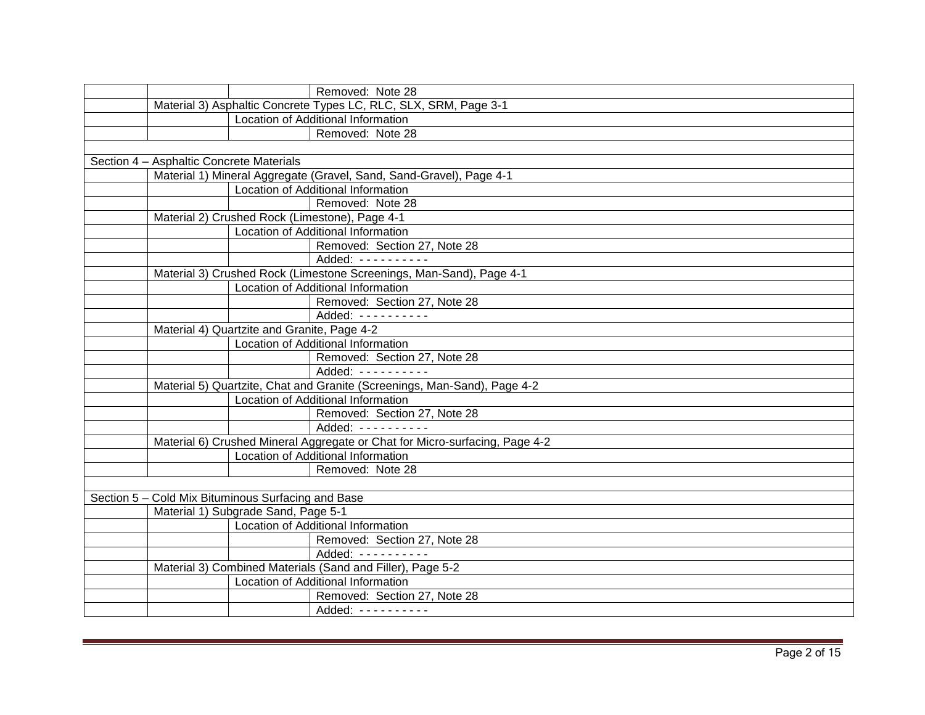|                                                    |                                             | Removed: Note 28                                                            |
|----------------------------------------------------|---------------------------------------------|-----------------------------------------------------------------------------|
|                                                    |                                             | Material 3) Asphaltic Concrete Types LC, RLC, SLX, SRM, Page 3-1            |
|                                                    |                                             | Location of Additional Information                                          |
|                                                    |                                             | Removed: Note 28                                                            |
|                                                    |                                             |                                                                             |
| Section 4 - Asphaltic Concrete Materials           |                                             |                                                                             |
|                                                    |                                             | Material 1) Mineral Aggregate (Gravel, Sand, Sand-Gravel), Page 4-1         |
|                                                    |                                             | Location of Additional Information                                          |
|                                                    |                                             | Removed: Note 28                                                            |
|                                                    |                                             | Material 2) Crushed Rock (Limestone), Page 4-1                              |
|                                                    |                                             | Location of Additional Information                                          |
|                                                    |                                             | Removed: Section 27, Note 28                                                |
|                                                    |                                             | Added: ----------                                                           |
|                                                    |                                             | Material 3) Crushed Rock (Limestone Screenings, Man-Sand), Page 4-1         |
|                                                    |                                             | Location of Additional Information                                          |
|                                                    |                                             | Removed: Section 27, Note 28                                                |
|                                                    |                                             | Added: ----------                                                           |
|                                                    | Material 4) Quartzite and Granite, Page 4-2 |                                                                             |
|                                                    |                                             | Location of Additional Information                                          |
|                                                    |                                             | Removed: Section 27, Note 28                                                |
|                                                    |                                             | Added: - - - - - - - - -                                                    |
|                                                    |                                             | Material 5) Quartzite, Chat and Granite (Screenings, Man-Sand), Page 4-2    |
|                                                    |                                             | Location of Additional Information                                          |
|                                                    |                                             | Removed: Section 27, Note 28                                                |
|                                                    |                                             | Added: ----------                                                           |
|                                                    |                                             | Material 6) Crushed Mineral Aggregate or Chat for Micro-surfacing, Page 4-2 |
|                                                    |                                             | Location of Additional Information                                          |
|                                                    |                                             | Removed: Note 28                                                            |
|                                                    |                                             |                                                                             |
| Section 5 - Cold Mix Bituminous Surfacing and Base |                                             |                                                                             |
|                                                    | Material 1) Subgrade Sand, Page 5-1         |                                                                             |
|                                                    |                                             | Location of Additional Information                                          |
|                                                    |                                             | Removed: Section 27, Note 28                                                |
|                                                    |                                             | Added: ----------                                                           |
|                                                    |                                             | Material 3) Combined Materials (Sand and Filler), Page 5-2                  |
|                                                    |                                             | Location of Additional Information                                          |
|                                                    |                                             | Removed: Section 27, Note 28                                                |
|                                                    |                                             | Added: ----------                                                           |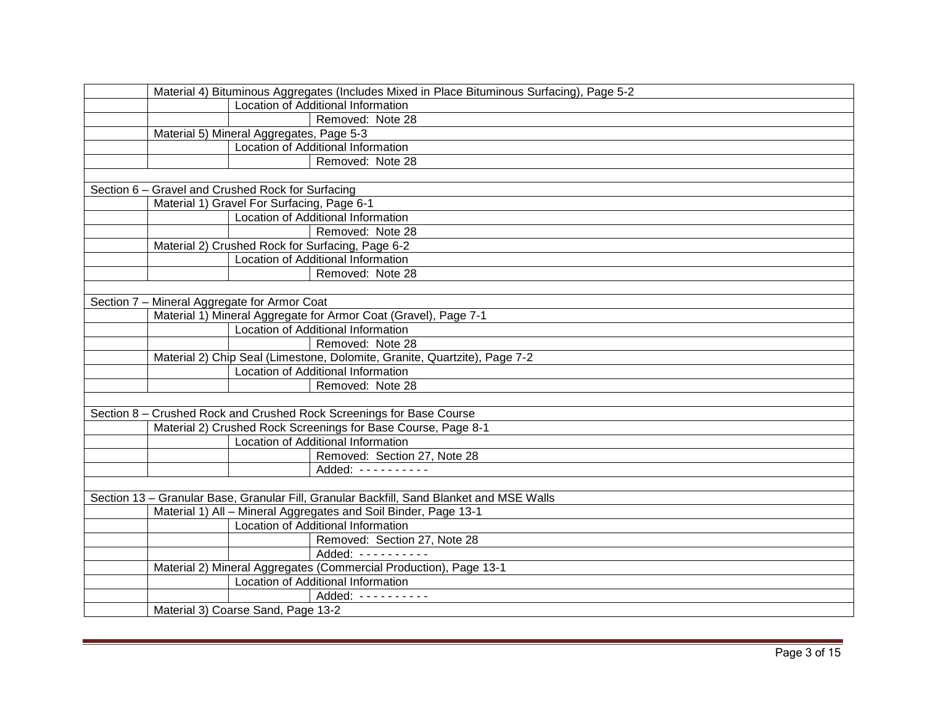| Material 4) Bituminous Aggregates (Includes Mixed in Place Bituminous Surfacing), Page 5-2 |
|--------------------------------------------------------------------------------------------|
| Location of Additional Information                                                         |
| Removed: Note 28                                                                           |
| Material 5) Mineral Aggregates, Page 5-3                                                   |
| Location of Additional Information                                                         |
| Removed: Note 28                                                                           |
|                                                                                            |
| Section 6 - Gravel and Crushed Rock for Surfacing                                          |
| Material 1) Gravel For Surfacing, Page 6-1                                                 |
| Location of Additional Information                                                         |
| Removed: Note 28                                                                           |
| Material 2) Crushed Rock for Surfacing, Page 6-2                                           |
| Location of Additional Information                                                         |
| Removed: Note 28                                                                           |
|                                                                                            |
| Section 7 - Mineral Aggregate for Armor Coat                                               |
| Material 1) Mineral Aggregate for Armor Coat (Gravel), Page 7-1                            |
| Location of Additional Information                                                         |
| Removed: Note 28                                                                           |
| Material 2) Chip Seal (Limestone, Dolomite, Granite, Quartzite), Page 7-2                  |
| Location of Additional Information                                                         |
| Removed: Note 28                                                                           |
|                                                                                            |
| Section 8 - Crushed Rock and Crushed Rock Screenings for Base Course                       |
| Material 2) Crushed Rock Screenings for Base Course, Page 8-1                              |
| Location of Additional Information                                                         |
| Removed: Section 27, Note 28                                                               |
| Added: ----------                                                                          |
|                                                                                            |
| Section 13 - Granular Base, Granular Fill, Granular Backfill, Sand Blanket and MSE Walls   |
| Material 1) All - Mineral Aggregates and Soil Binder, Page 13-1                            |
| Location of Additional Information                                                         |
| Removed: Section 27, Note 28                                                               |
| Added: ----------                                                                          |
| Material 2) Mineral Aggregates (Commercial Production), Page 13-1                          |
| Location of Additional Information                                                         |
| Added: ----------                                                                          |
| Material 3) Coarse Sand, Page 13-2                                                         |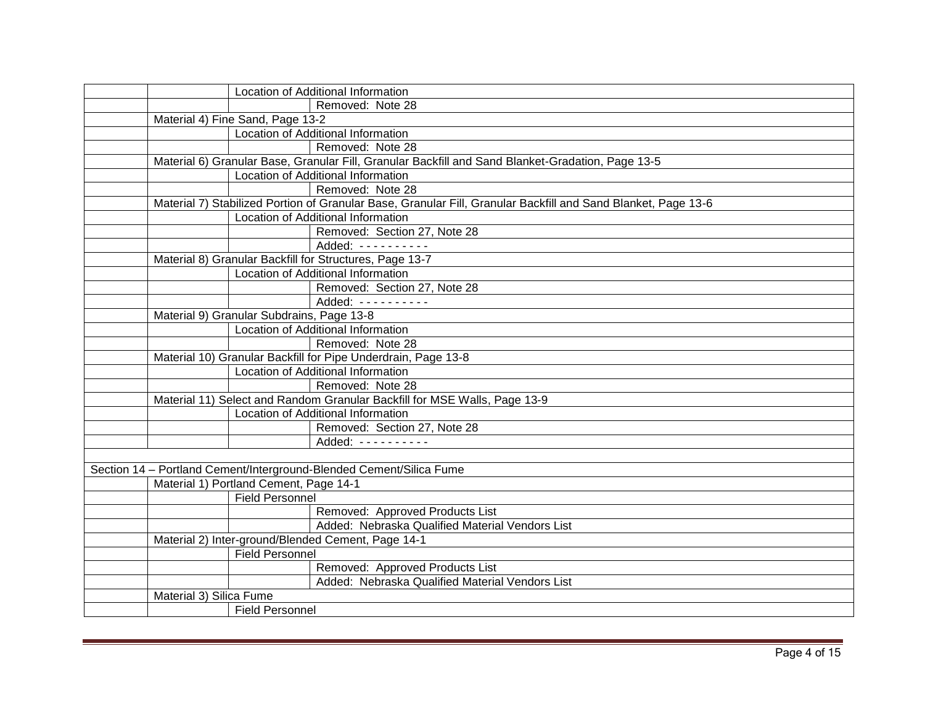| Location of Additional Information                                                                            |  |
|---------------------------------------------------------------------------------------------------------------|--|
| Removed: Note 28                                                                                              |  |
| Material 4) Fine Sand, Page 13-2                                                                              |  |
| Location of Additional Information                                                                            |  |
| Removed: Note 28                                                                                              |  |
| Material 6) Granular Base, Granular Fill, Granular Backfill and Sand Blanket-Gradation, Page 13-5             |  |
| Location of Additional Information                                                                            |  |
| Removed: Note 28                                                                                              |  |
| Material 7) Stabilized Portion of Granular Base, Granular Fill, Granular Backfill and Sand Blanket, Page 13-6 |  |
| Location of Additional Information                                                                            |  |
| Removed: Section 27, Note 28                                                                                  |  |
| Added: $------$                                                                                               |  |
| Material 8) Granular Backfill for Structures, Page 13-7                                                       |  |
| Location of Additional Information                                                                            |  |
| Removed: Section 27, Note 28                                                                                  |  |
| Added: ----------                                                                                             |  |
| Material 9) Granular Subdrains, Page 13-8                                                                     |  |
| Location of Additional Information                                                                            |  |
| Removed: Note 28                                                                                              |  |
| Material 10) Granular Backfill for Pipe Underdrain, Page 13-8                                                 |  |
| Location of Additional Information                                                                            |  |
| Removed: Note 28                                                                                              |  |
| Material 11) Select and Random Granular Backfill for MSE Walls, Page 13-9                                     |  |
| Location of Additional Information                                                                            |  |
| Removed: Section 27, Note 28                                                                                  |  |
| Added: ---------                                                                                              |  |
|                                                                                                               |  |
| Section 14 - Portland Cement/Interground-Blended Cement/Silica Fume                                           |  |
| Material 1) Portland Cement, Page 14-1                                                                        |  |
| <b>Field Personnel</b>                                                                                        |  |
| Removed: Approved Products List                                                                               |  |
| Added: Nebraska Qualified Material Vendors List                                                               |  |
| Material 2) Inter-ground/Blended Cement, Page 14-1                                                            |  |
| <b>Field Personnel</b>                                                                                        |  |
| Removed: Approved Products List                                                                               |  |
| Added: Nebraska Qualified Material Vendors List                                                               |  |
| Material 3) Silica Fume                                                                                       |  |
| <b>Field Personnel</b>                                                                                        |  |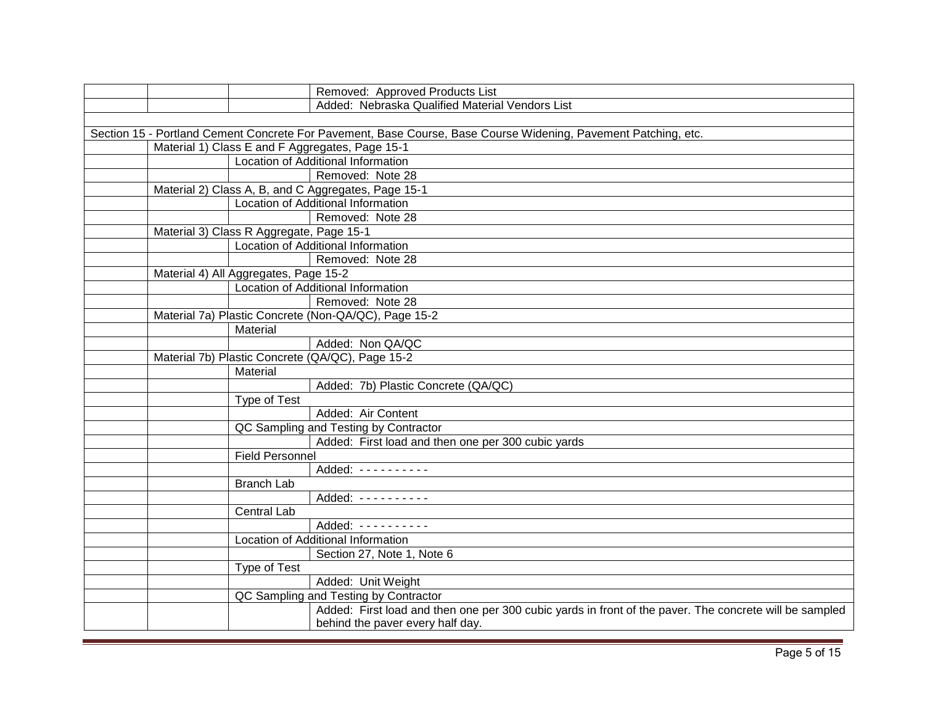| Removed: Approved Products List                                                                                |
|----------------------------------------------------------------------------------------------------------------|
| Added: Nebraska Qualified Material Vendors List                                                                |
|                                                                                                                |
| Section 15 - Portland Cement Concrete For Pavement, Base Course, Base Course Widening, Pavement Patching, etc. |
| Material 1) Class E and F Aggregates, Page 15-1                                                                |
| Location of Additional Information                                                                             |
| Removed: Note 28                                                                                               |
| Material 2) Class A, B, and C Aggregates, Page 15-1                                                            |
| Location of Additional Information                                                                             |
| Removed: Note 28                                                                                               |
| Material 3) Class R Aggregate, Page 15-1                                                                       |
| Location of Additional Information                                                                             |
| Removed: Note 28                                                                                               |
| Material 4) All Aggregates, Page 15-2                                                                          |
| Location of Additional Information                                                                             |
| Removed: Note 28                                                                                               |
| Material 7a) Plastic Concrete (Non-QA/QC), Page 15-2                                                           |
| Material                                                                                                       |
| Added: Non QA/QC                                                                                               |
| Material 7b) Plastic Concrete (QA/QC), Page 15-2                                                               |
| Material                                                                                                       |
| Added: 7b) Plastic Concrete (QA/QC)                                                                            |
| Type of Test                                                                                                   |
| Added: Air Content                                                                                             |
| QC Sampling and Testing by Contractor                                                                          |
| Added: First load and then one per 300 cubic yards                                                             |
| <b>Field Personnel</b>                                                                                         |
| Added: ----------                                                                                              |
| <b>Branch Lab</b>                                                                                              |
| Added: ----------                                                                                              |
| <b>Central Lab</b>                                                                                             |
| Added: ----------                                                                                              |
| Location of Additional Information                                                                             |
| Section 27, Note 1, Note 6                                                                                     |
| Type of Test                                                                                                   |
| Added: Unit Weight                                                                                             |
| QC Sampling and Testing by Contractor                                                                          |
| Added: First load and then one per 300 cubic yards in front of the paver. The concrete will be sampled         |
| behind the paver every half day.                                                                               |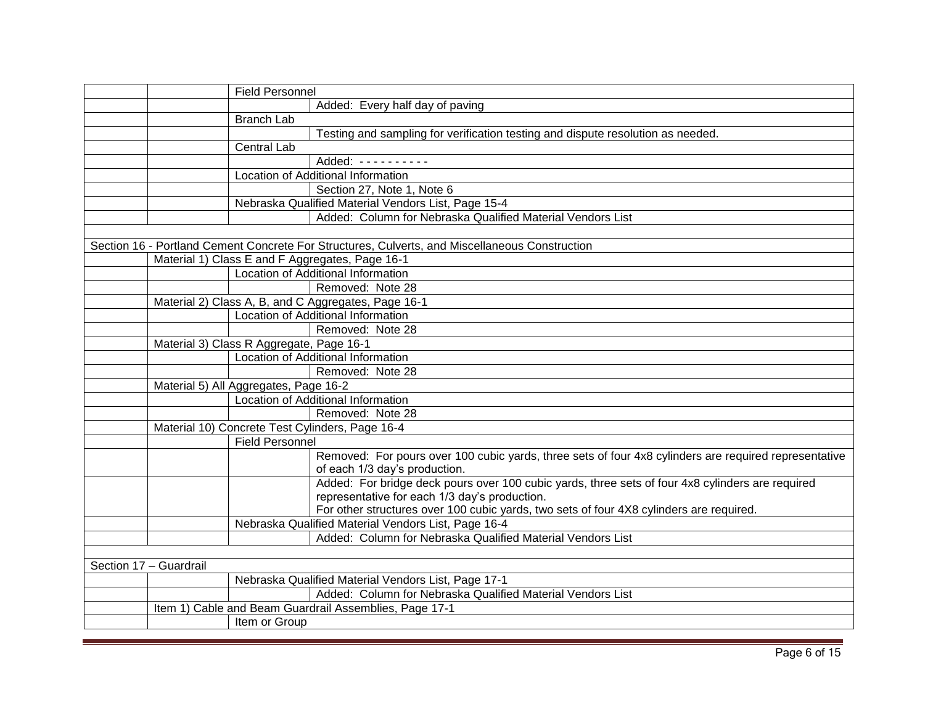| <b>Field Personnel</b>                                                                                |
|-------------------------------------------------------------------------------------------------------|
| Added: Every half day of paving                                                                       |
| Branch Lab                                                                                            |
| Testing and sampling for verification testing and dispute resolution as needed.                       |
| <b>Central Lab</b>                                                                                    |
| Added: ----------                                                                                     |
| Location of Additional Information                                                                    |
| Section 27, Note 1, Note 6                                                                            |
| Nebraska Qualified Material Vendors List, Page 15-4                                                   |
| Added: Column for Nebraska Qualified Material Vendors List                                            |
|                                                                                                       |
| Section 16 - Portland Cement Concrete For Structures, Culverts, and Miscellaneous Construction        |
| Material 1) Class E and F Aggregates, Page 16-1                                                       |
| <b>Location of Additional Information</b>                                                             |
| Removed: Note 28                                                                                      |
| Material 2) Class A, B, and C Aggregates, Page 16-1                                                   |
| Location of Additional Information                                                                    |
| Removed: Note 28                                                                                      |
| Material 3) Class R Aggregate, Page 16-1                                                              |
| Location of Additional Information                                                                    |
| Removed: Note 28                                                                                      |
| Material 5) All Aggregates, Page 16-2                                                                 |
| Location of Additional Information                                                                    |
| Removed: Note 28                                                                                      |
| Material 10) Concrete Test Cylinders, Page 16-4                                                       |
| <b>Field Personnel</b>                                                                                |
| Removed: For pours over 100 cubic yards, three sets of four 4x8 cylinders are required representative |
| of each 1/3 day's production.                                                                         |
| Added: For bridge deck pours over 100 cubic yards, three sets of four 4x8 cylinders are required      |
| representative for each 1/3 day's production.                                                         |
| For other structures over 100 cubic yards, two sets of four 4X8 cylinders are required.               |
| Nebraska Qualified Material Vendors List, Page 16-4                                                   |
| Added: Column for Nebraska Qualified Material Vendors List                                            |
|                                                                                                       |
| Section 17 - Guardrail                                                                                |
| Nebraska Qualified Material Vendors List, Page 17-1                                                   |
| Added: Column for Nebraska Qualified Material Vendors List                                            |
| Item 1) Cable and Beam Guardrail Assemblies, Page 17-1                                                |
| Item or Group                                                                                         |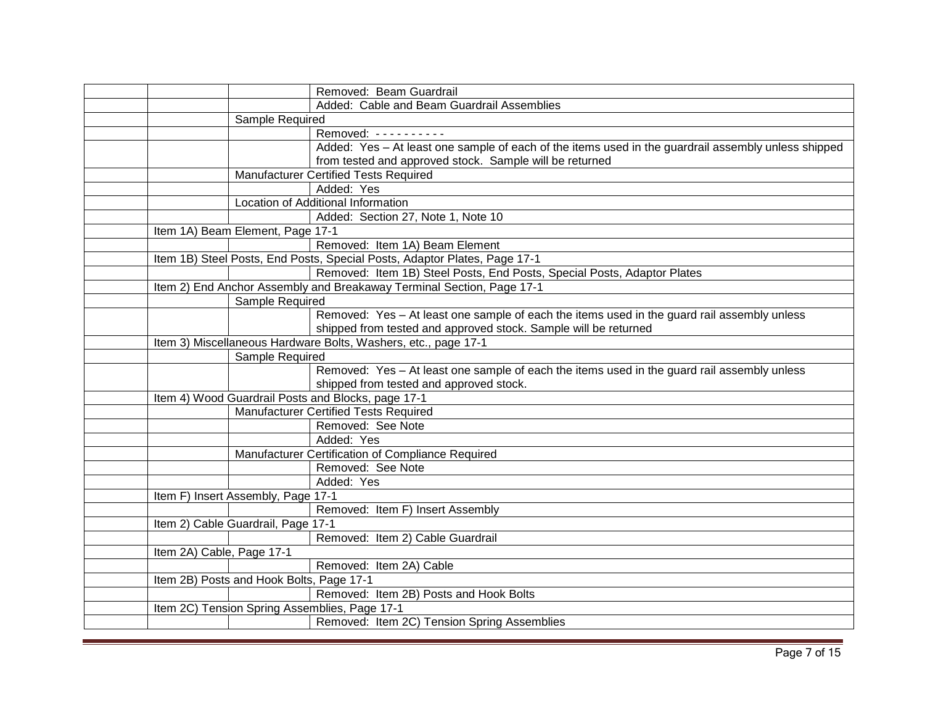|                           | Removed: Beam Guardrail                                                   |                                                                                                     |
|---------------------------|---------------------------------------------------------------------------|-----------------------------------------------------------------------------------------------------|
|                           |                                                                           | Added: Cable and Beam Guardrail Assemblies                                                          |
|                           | Sample Required                                                           |                                                                                                     |
|                           | Removed: ---------                                                        |                                                                                                     |
|                           |                                                                           | Added: Yes - At least one sample of each of the items used in the guardrail assembly unless shipped |
|                           |                                                                           | from tested and approved stock. Sample will be returned                                             |
|                           | Manufacturer Certified Tests Required                                     |                                                                                                     |
|                           | Added: Yes                                                                |                                                                                                     |
|                           | Location of Additional Information                                        |                                                                                                     |
|                           |                                                                           | Added: Section 27, Note 1, Note 10                                                                  |
|                           | Item 1A) Beam Element, Page 17-1                                          |                                                                                                     |
|                           |                                                                           | Removed: Item 1A) Beam Element                                                                      |
|                           | Item 1B) Steel Posts, End Posts, Special Posts, Adaptor Plates, Page 17-1 |                                                                                                     |
|                           |                                                                           | Removed: Item 1B) Steel Posts, End Posts, Special Posts, Adaptor Plates                             |
|                           | Item 2) End Anchor Assembly and Breakaway Terminal Section, Page 17-1     |                                                                                                     |
|                           | Sample Required                                                           |                                                                                                     |
|                           |                                                                           | Removed: Yes - At least one sample of each the items used in the guard rail assembly unless         |
|                           |                                                                           | shipped from tested and approved stock. Sample will be returned                                     |
|                           | Item 3) Miscellaneous Hardware Bolts, Washers, etc., page 17-1            |                                                                                                     |
|                           | Sample Required                                                           |                                                                                                     |
|                           |                                                                           | Removed: Yes - At least one sample of each the items used in the guard rail assembly unless         |
|                           |                                                                           | shipped from tested and approved stock.                                                             |
|                           | Item 4) Wood Guardrail Posts and Blocks, page 17-1                        |                                                                                                     |
|                           | <b>Manufacturer Certified Tests Required</b>                              |                                                                                                     |
|                           | Removed: See Note                                                         |                                                                                                     |
|                           | Added: Yes                                                                |                                                                                                     |
|                           | Manufacturer Certification of Compliance Required                         |                                                                                                     |
|                           | Removed: See Note                                                         |                                                                                                     |
|                           | Added: Yes                                                                |                                                                                                     |
|                           | Item F) Insert Assembly, Page 17-1                                        |                                                                                                     |
|                           |                                                                           | Removed: Item F) Insert Assembly                                                                    |
|                           | Item 2) Cable Guardrail, Page 17-1                                        |                                                                                                     |
|                           |                                                                           | Removed: Item 2) Cable Guardrail                                                                    |
| Item 2A) Cable, Page 17-1 |                                                                           |                                                                                                     |
|                           | Removed: Item 2A) Cable                                                   |                                                                                                     |
|                           | Item 2B) Posts and Hook Bolts, Page 17-1                                  |                                                                                                     |
|                           |                                                                           | Removed: Item 2B) Posts and Hook Bolts                                                              |
|                           | Item 2C) Tension Spring Assemblies, Page 17-1                             |                                                                                                     |
|                           |                                                                           | Removed: Item 2C) Tension Spring Assemblies                                                         |
|                           |                                                                           |                                                                                                     |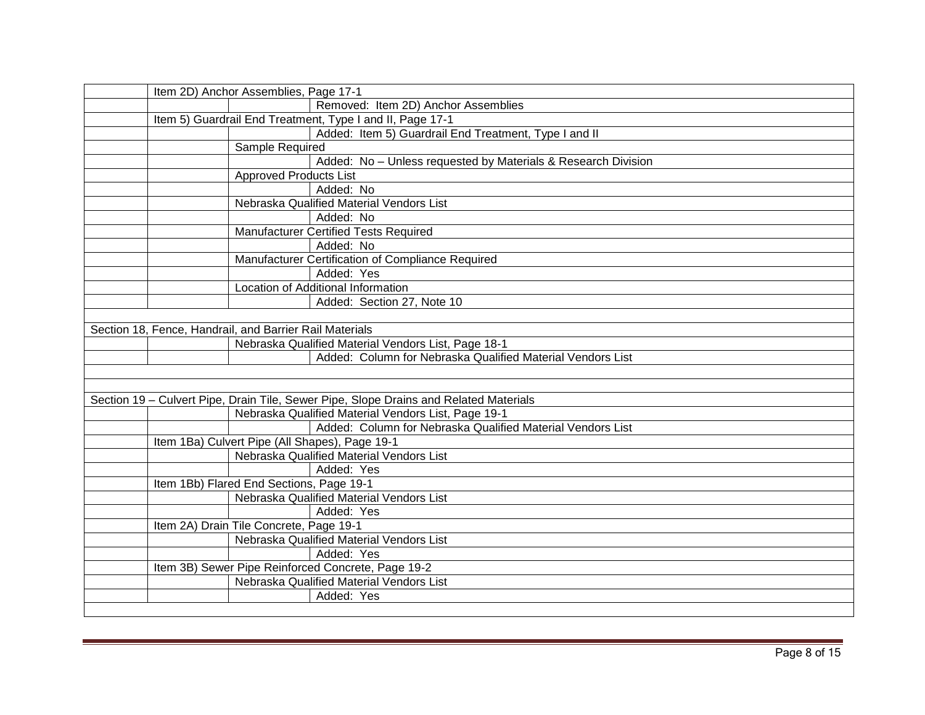| Item 2D) Anchor Assemblies, Page 17-1                                                 |
|---------------------------------------------------------------------------------------|
| Removed: Item 2D) Anchor Assemblies                                                   |
| Item 5) Guardrail End Treatment, Type I and II, Page 17-1                             |
| Added: Item 5) Guardrail End Treatment, Type I and II                                 |
| Sample Required                                                                       |
| Added: No - Unless requested by Materials & Research Division                         |
| <b>Approved Products List</b>                                                         |
| Added: No                                                                             |
| Nebraska Qualified Material Vendors List                                              |
| Added: No                                                                             |
| <b>Manufacturer Certified Tests Required</b>                                          |
| Added: No                                                                             |
| Manufacturer Certification of Compliance Required                                     |
| Added: Yes                                                                            |
| Location of Additional Information                                                    |
| Added: Section 27, Note 10                                                            |
|                                                                                       |
| Section 18, Fence, Handrail, and Barrier Rail Materials                               |
| Nebraska Qualified Material Vendors List, Page 18-1                                   |
| Added: Column for Nebraska Qualified Material Vendors List                            |
|                                                                                       |
|                                                                                       |
| Section 19 - Culvert Pipe, Drain Tile, Sewer Pipe, Slope Drains and Related Materials |
| Nebraska Qualified Material Vendors List, Page 19-1                                   |
| Added: Column for Nebraska Qualified Material Vendors List                            |
| Item 1Ba) Culvert Pipe (All Shapes), Page 19-1                                        |
| Nebraska Qualified Material Vendors List                                              |
| Added: Yes                                                                            |
| Item 1Bb) Flared End Sections, Page 19-1                                              |
| Nebraska Qualified Material Vendors List                                              |
| Added: Yes                                                                            |
| Item 2A) Drain Tile Concrete, Page 19-1                                               |
| Nebraska Qualified Material Vendors List                                              |
| Added: Yes                                                                            |
| Item 3B) Sewer Pipe Reinforced Concrete, Page 19-2                                    |
| Nebraska Qualified Material Vendors List                                              |
| Added: Yes                                                                            |
|                                                                                       |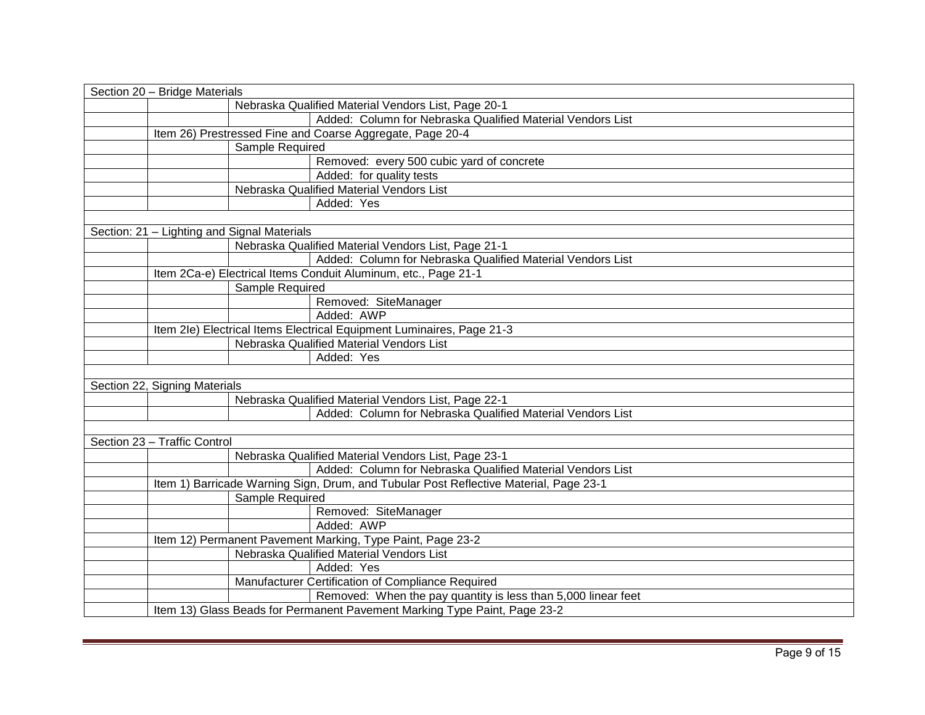| Section 20 - Bridge Materials                                         |                                                                                       |  |
|-----------------------------------------------------------------------|---------------------------------------------------------------------------------------|--|
|                                                                       | Nebraska Qualified Material Vendors List, Page 20-1                                   |  |
|                                                                       | Added: Column for Nebraska Qualified Material Vendors List                            |  |
| Item 26) Prestressed Fine and Coarse Aggregate, Page 20-4             |                                                                                       |  |
| Sample Required                                                       |                                                                                       |  |
|                                                                       | Removed: every 500 cubic yard of concrete                                             |  |
|                                                                       | Added: for quality tests                                                              |  |
|                                                                       | Nebraska Qualified Material Vendors List                                              |  |
|                                                                       | Added: Yes                                                                            |  |
|                                                                       |                                                                                       |  |
| Section: 21 - Lighting and Signal Materials                           |                                                                                       |  |
|                                                                       | Nebraska Qualified Material Vendors List, Page 21-1                                   |  |
|                                                                       | Added: Column for Nebraska Qualified Material Vendors List                            |  |
| Item 2Ca-e) Electrical Items Conduit Aluminum, etc., Page 21-1        |                                                                                       |  |
| Sample Required                                                       |                                                                                       |  |
|                                                                       | Removed: SiteManager                                                                  |  |
|                                                                       | Added: AWP                                                                            |  |
| Item 2le) Electrical Items Electrical Equipment Luminaires, Page 21-3 |                                                                                       |  |
|                                                                       | Nebraska Qualified Material Vendors List                                              |  |
|                                                                       | Added: Yes                                                                            |  |
|                                                                       |                                                                                       |  |
| Section 22, Signing Materials                                         |                                                                                       |  |
|                                                                       | Nebraska Qualified Material Vendors List, Page 22-1                                   |  |
|                                                                       | Added: Column for Nebraska Qualified Material Vendors List                            |  |
|                                                                       |                                                                                       |  |
| Section 23 - Traffic Control                                          |                                                                                       |  |
|                                                                       | Nebraska Qualified Material Vendors List, Page 23-1                                   |  |
|                                                                       | Added: Column for Nebraska Qualified Material Vendors List                            |  |
|                                                                       | Item 1) Barricade Warning Sign, Drum, and Tubular Post Reflective Material, Page 23-1 |  |
| Sample Required                                                       |                                                                                       |  |
|                                                                       | Removed: SiteManager                                                                  |  |
|                                                                       | Added: AWP                                                                            |  |
| Item 12) Permanent Pavement Marking, Type Paint, Page 23-2            |                                                                                       |  |
|                                                                       | Nebraska Qualified Material Vendors List                                              |  |
|                                                                       | Added: Yes                                                                            |  |
|                                                                       | Manufacturer Certification of Compliance Required                                     |  |
|                                                                       | Removed: When the pay quantity is less than 5,000 linear feet                         |  |
|                                                                       | Item 13) Glass Beads for Permanent Pavement Marking Type Paint, Page 23-2             |  |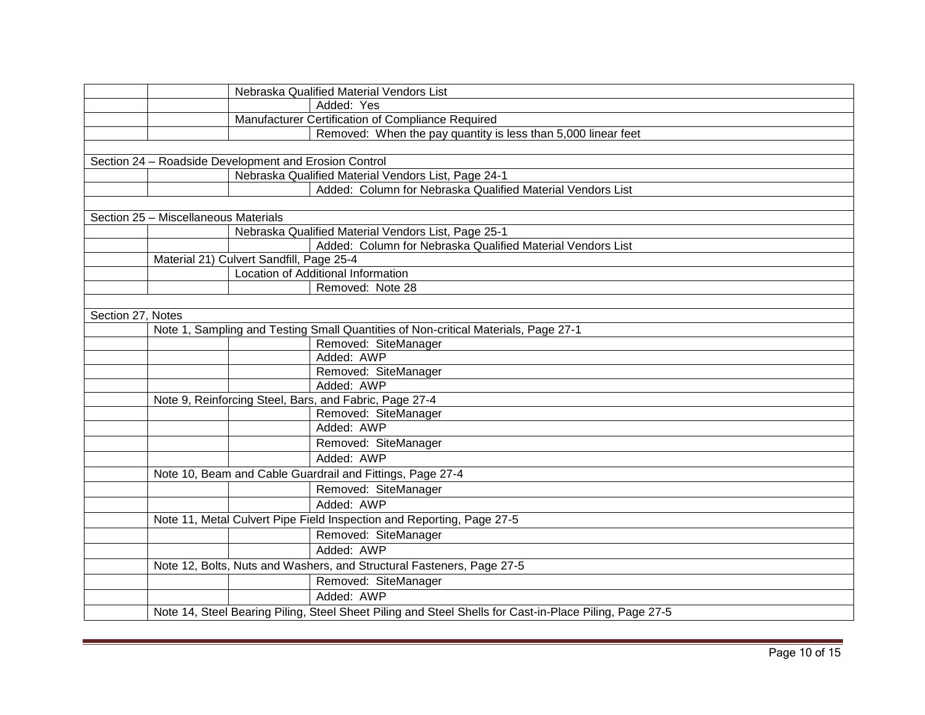| Nebraska Qualified Material Vendors List                                                               |  |
|--------------------------------------------------------------------------------------------------------|--|
| Added: Yes                                                                                             |  |
| Manufacturer Certification of Compliance Required                                                      |  |
| Removed: When the pay quantity is less than 5,000 linear feet                                          |  |
|                                                                                                        |  |
| Section 24 - Roadside Development and Erosion Control                                                  |  |
| Nebraska Qualified Material Vendors List, Page 24-1                                                    |  |
| Added: Column for Nebraska Qualified Material Vendors List                                             |  |
|                                                                                                        |  |
| Section 25 - Miscellaneous Materials                                                                   |  |
| Nebraska Qualified Material Vendors List, Page 25-1                                                    |  |
| Added: Column for Nebraska Qualified Material Vendors List                                             |  |
| Material 21) Culvert Sandfill, Page 25-4                                                               |  |
| Location of Additional Information                                                                     |  |
| Removed: Note 28                                                                                       |  |
|                                                                                                        |  |
| Section 27, Notes                                                                                      |  |
| Note 1, Sampling and Testing Small Quantities of Non-critical Materials, Page 27-1                     |  |
| Removed: SiteManager                                                                                   |  |
| Added: AWP                                                                                             |  |
| Removed: SiteManager                                                                                   |  |
| Added: AWP                                                                                             |  |
| Note 9, Reinforcing Steel, Bars, and Fabric, Page 27-4                                                 |  |
| Removed: SiteManager                                                                                   |  |
| Added: AWP                                                                                             |  |
| Removed: SiteManager                                                                                   |  |
| Added: AWP                                                                                             |  |
| Note 10, Beam and Cable Guardrail and Fittings, Page 27-4                                              |  |
| Removed: SiteManager                                                                                   |  |
| Added: AWP                                                                                             |  |
| Note 11, Metal Culvert Pipe Field Inspection and Reporting, Page 27-5                                  |  |
| Removed: SiteManager                                                                                   |  |
| Added: AWP                                                                                             |  |
| Note 12, Bolts, Nuts and Washers, and Structural Fasteners, Page 27-5                                  |  |
| Removed: SiteManager                                                                                   |  |
| Added: AWP                                                                                             |  |
|                                                                                                        |  |
| Note 14, Steel Bearing Piling, Steel Sheet Piling and Steel Shells for Cast-in-Place Piling, Page 27-5 |  |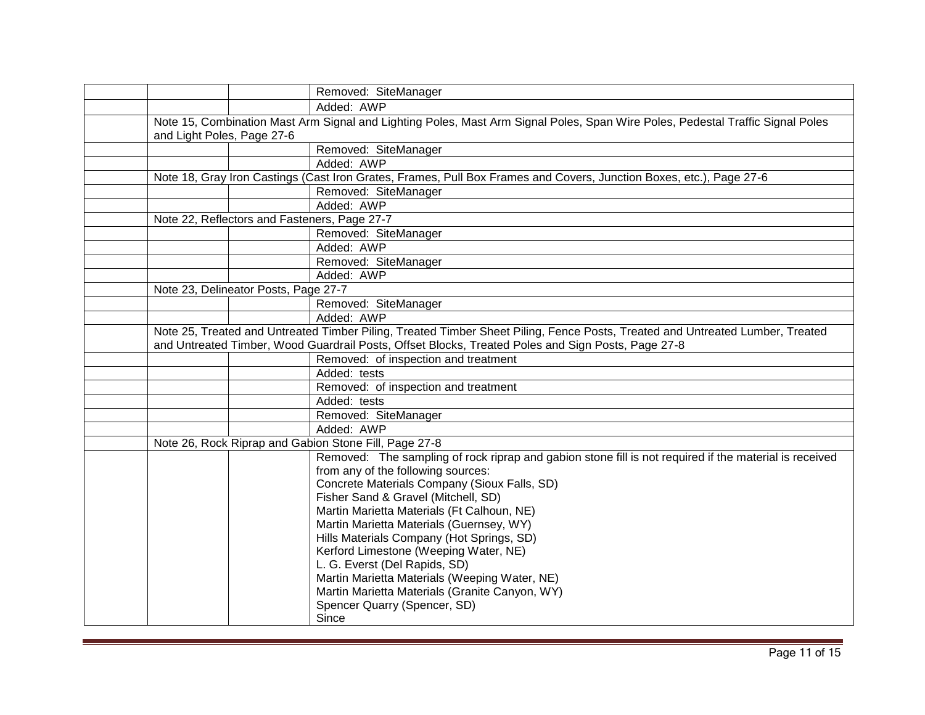|                                      | Removed: SiteManager                                                                                                           |
|--------------------------------------|--------------------------------------------------------------------------------------------------------------------------------|
|                                      | Added: AWP                                                                                                                     |
|                                      | Note 15, Combination Mast Arm Signal and Lighting Poles, Mast Arm Signal Poles, Span Wire Poles, Pedestal Traffic Signal Poles |
| and Light Poles, Page 27-6           |                                                                                                                                |
|                                      | Removed: SiteManager                                                                                                           |
|                                      | Added: AWP                                                                                                                     |
|                                      | Note 18, Gray Iron Castings (Cast Iron Grates, Frames, Pull Box Frames and Covers, Junction Boxes, etc.), Page 27-6            |
|                                      | Removed: SiteManager                                                                                                           |
|                                      | Added: AWP                                                                                                                     |
|                                      | Note 22, Reflectors and Fasteners, Page 27-7                                                                                   |
|                                      | Removed: SiteManager                                                                                                           |
|                                      | Added: AWP                                                                                                                     |
|                                      | Removed: SiteManager                                                                                                           |
|                                      | Added: AWP                                                                                                                     |
| Note 23, Delineator Posts, Page 27-7 |                                                                                                                                |
|                                      | Removed: SiteManager                                                                                                           |
|                                      | Added: AWP                                                                                                                     |
|                                      | Note 25, Treated and Untreated Timber Piling, Treated Timber Sheet Piling, Fence Posts, Treated and Untreated Lumber, Treated  |
|                                      | and Untreated Timber, Wood Guardrail Posts, Offset Blocks, Treated Poles and Sign Posts, Page 27-8                             |
|                                      | Removed: of inspection and treatment                                                                                           |
|                                      | Added: tests                                                                                                                   |
|                                      | Removed: of inspection and treatment                                                                                           |
|                                      | Added: tests                                                                                                                   |
|                                      | Removed: SiteManager                                                                                                           |
|                                      | Added: AWP                                                                                                                     |
|                                      | Note 26, Rock Riprap and Gabion Stone Fill, Page 27-8                                                                          |
|                                      | Removed: The sampling of rock riprap and gabion stone fill is not required if the material is received                         |
|                                      | from any of the following sources:                                                                                             |
|                                      | Concrete Materials Company (Sioux Falls, SD)                                                                                   |
|                                      | Fisher Sand & Gravel (Mitchell, SD)                                                                                            |
|                                      | Martin Marietta Materials (Ft Calhoun, NE)                                                                                     |
|                                      | Martin Marietta Materials (Guernsey, WY)                                                                                       |
|                                      | Hills Materials Company (Hot Springs, SD)<br>Kerford Limestone (Weeping Water, NE)                                             |
|                                      | L. G. Everst (Del Rapids, SD)                                                                                                  |
|                                      | Martin Marietta Materials (Weeping Water, NE)                                                                                  |
|                                      | Martin Marietta Materials (Granite Canyon, WY)                                                                                 |
|                                      | Spencer Quarry (Spencer, SD)                                                                                                   |
|                                      | Since                                                                                                                          |
|                                      |                                                                                                                                |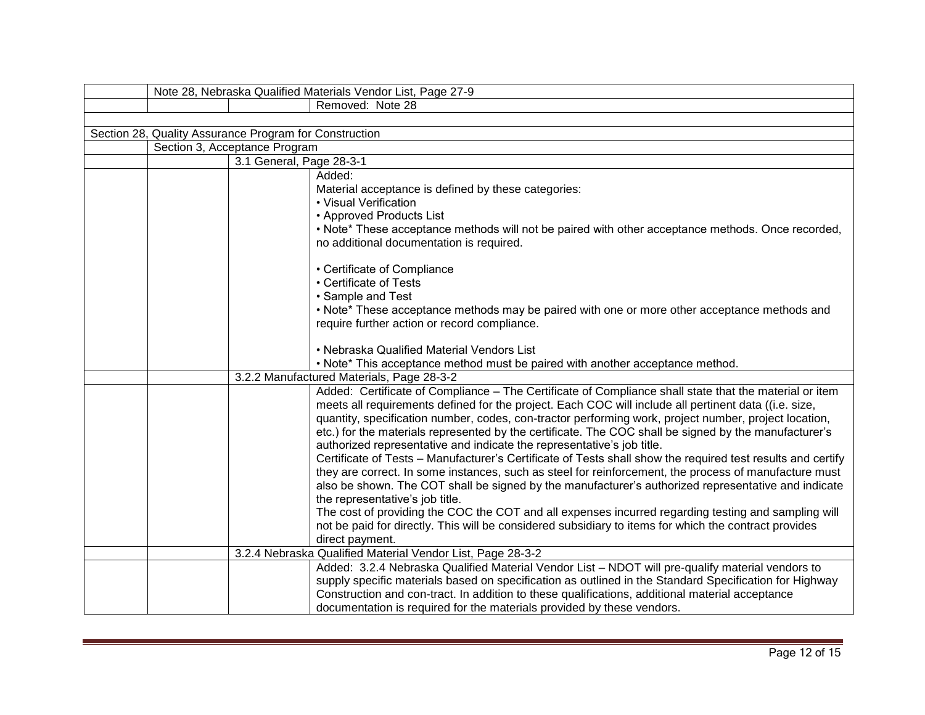|                                                        | Note 28, Nebraska Qualified Materials Vendor List, Page 27-9                                                                           |
|--------------------------------------------------------|----------------------------------------------------------------------------------------------------------------------------------------|
|                                                        | Removed: Note 28                                                                                                                       |
|                                                        |                                                                                                                                        |
| Section 28, Quality Assurance Program for Construction |                                                                                                                                        |
| Section 3, Acceptance Program                          |                                                                                                                                        |
| 3.1 General, Page 28-3-1                               |                                                                                                                                        |
|                                                        | Added:                                                                                                                                 |
|                                                        | Material acceptance is defined by these categories:                                                                                    |
|                                                        | • Visual Verification                                                                                                                  |
|                                                        | • Approved Products List                                                                                                               |
|                                                        | • Note* These acceptance methods will not be paired with other acceptance methods. Once recorded,                                      |
|                                                        | no additional documentation is required.                                                                                               |
|                                                        | • Certificate of Compliance                                                                                                            |
|                                                        | • Certificate of Tests                                                                                                                 |
|                                                        | • Sample and Test                                                                                                                      |
|                                                        | • Note* These acceptance methods may be paired with one or more other acceptance methods and                                           |
|                                                        | require further action or record compliance.                                                                                           |
|                                                        |                                                                                                                                        |
|                                                        | • Nebraska Qualified Material Vendors List                                                                                             |
|                                                        | • Note* This acceptance method must be paired with another acceptance method.                                                          |
|                                                        | 3.2.2 Manufactured Materials, Page 28-3-2                                                                                              |
|                                                        | Added: Certificate of Compliance - The Certificate of Compliance shall state that the material or item                                 |
|                                                        | meets all requirements defined for the project. Each COC will include all pertinent data ((i.e. size,                                  |
|                                                        | quantity, specification number, codes, con-tractor performing work, project number, project location,                                  |
|                                                        | etc.) for the materials represented by the certificate. The COC shall be signed by the manufacturer's                                  |
|                                                        | authorized representative and indicate the representative's job title.                                                                 |
|                                                        | Certificate of Tests - Manufacturer's Certificate of Tests shall show the required test results and certify                            |
|                                                        | they are correct. In some instances, such as steel for reinforcement, the process of manufacture must                                  |
|                                                        | also be shown. The COT shall be signed by the manufacturer's authorized representative and indicate<br>the representative's job title. |
|                                                        | The cost of providing the COC the COT and all expenses incurred regarding testing and sampling will                                    |
|                                                        | not be paid for directly. This will be considered subsidiary to items for which the contract provides                                  |
|                                                        | direct payment.                                                                                                                        |
|                                                        | 3.2.4 Nebraska Qualified Material Vendor List, Page 28-3-2                                                                             |
|                                                        | Added: 3.2.4 Nebraska Qualified Material Vendor List - NDOT will pre-qualify material vendors to                                       |
|                                                        | supply specific materials based on specification as outlined in the Standard Specification for Highway                                 |
|                                                        | Construction and con-tract. In addition to these qualifications, additional material acceptance                                        |
|                                                        | documentation is required for the materials provided by these vendors.                                                                 |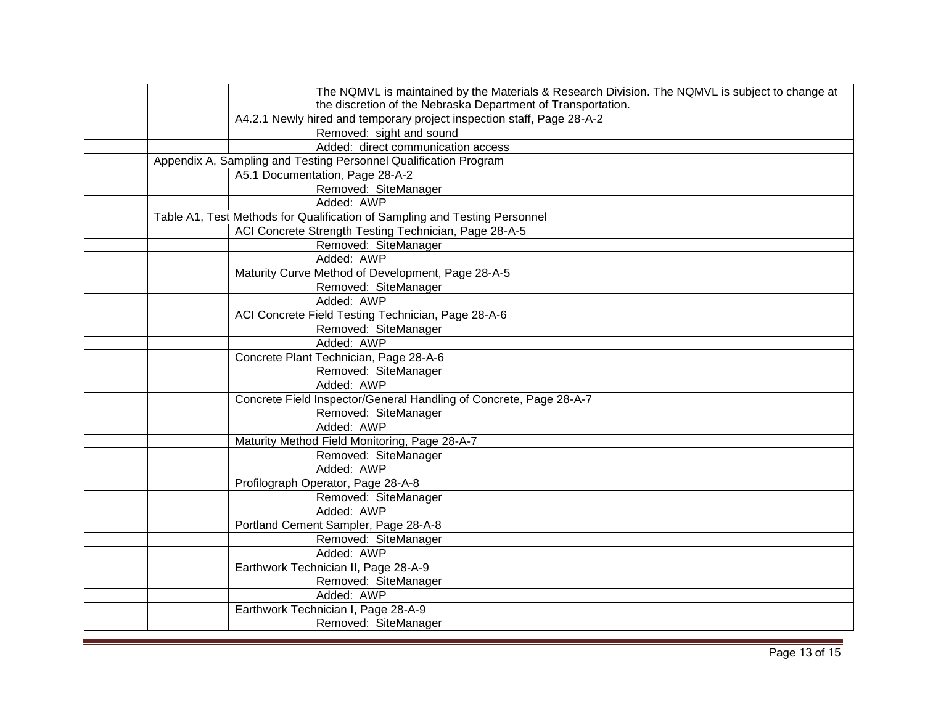|                                                                            | The NQMVL is maintained by the Materials & Research Division. The NQMVL is subject to change at |  |
|----------------------------------------------------------------------------|-------------------------------------------------------------------------------------------------|--|
|                                                                            | the discretion of the Nebraska Department of Transportation.                                    |  |
|                                                                            | A4.2.1 Newly hired and temporary project inspection staff, Page 28-A-2                          |  |
|                                                                            | Removed: sight and sound                                                                        |  |
|                                                                            | Added: direct communication access                                                              |  |
|                                                                            | Appendix A, Sampling and Testing Personnel Qualification Program                                |  |
|                                                                            | A5.1 Documentation, Page 28-A-2                                                                 |  |
|                                                                            | Removed: SiteManager                                                                            |  |
|                                                                            | Added: AWP                                                                                      |  |
| Table A1, Test Methods for Qualification of Sampling and Testing Personnel |                                                                                                 |  |
|                                                                            | ACI Concrete Strength Testing Technician, Page 28-A-5                                           |  |
|                                                                            | Removed: SiteManager                                                                            |  |
|                                                                            | Added: AWP                                                                                      |  |
|                                                                            | Maturity Curve Method of Development, Page 28-A-5                                               |  |
|                                                                            | Removed: SiteManager                                                                            |  |
|                                                                            | Added: AWP                                                                                      |  |
|                                                                            | ACI Concrete Field Testing Technician, Page 28-A-6                                              |  |
|                                                                            | Removed: SiteManager                                                                            |  |
|                                                                            | Added: AWP                                                                                      |  |
|                                                                            | Concrete Plant Technician, Page 28-A-6                                                          |  |
|                                                                            | Removed: SiteManager                                                                            |  |
|                                                                            | Added: AWP                                                                                      |  |
|                                                                            | Concrete Field Inspector/General Handling of Concrete, Page 28-A-7                              |  |
|                                                                            | Removed: SiteManager                                                                            |  |
|                                                                            | Added: AWP                                                                                      |  |
|                                                                            | Maturity Method Field Monitoring, Page 28-A-7                                                   |  |
|                                                                            | Removed: SiteManager                                                                            |  |
|                                                                            | Added: AWP                                                                                      |  |
|                                                                            | Profilograph Operator, Page 28-A-8                                                              |  |
|                                                                            | Removed: SiteManager                                                                            |  |
|                                                                            | Added: AWP                                                                                      |  |
|                                                                            | Portland Cement Sampler, Page 28-A-8                                                            |  |
|                                                                            | Removed: SiteManager                                                                            |  |
|                                                                            | Added: AWP                                                                                      |  |
|                                                                            | Earthwork Technician II, Page 28-A-9                                                            |  |
|                                                                            | Removed: SiteManager                                                                            |  |
|                                                                            | Added: AWP                                                                                      |  |
|                                                                            | Earthwork Technician I, Page 28-A-9                                                             |  |
|                                                                            | Removed: SiteManager                                                                            |  |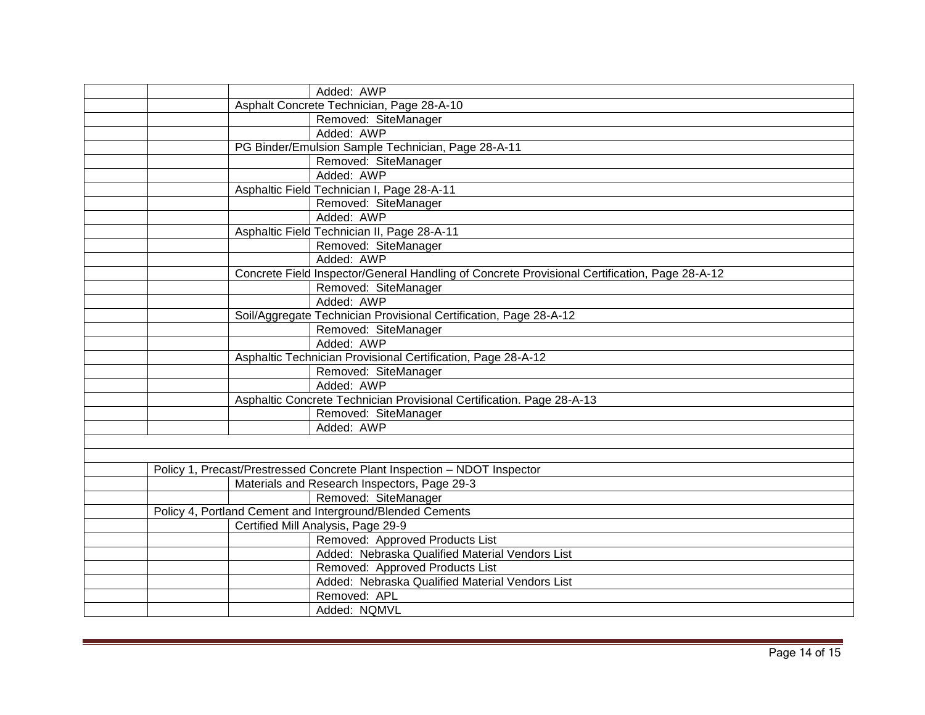| Added: AWP                                                                                    |  |  |
|-----------------------------------------------------------------------------------------------|--|--|
| Asphalt Concrete Technician, Page 28-A-10                                                     |  |  |
| Removed: SiteManager                                                                          |  |  |
| Added: AWP                                                                                    |  |  |
| PG Binder/Emulsion Sample Technician, Page 28-A-11                                            |  |  |
| Removed: SiteManager                                                                          |  |  |
| Added: AWP                                                                                    |  |  |
| Asphaltic Field Technician I, Page 28-A-11                                                    |  |  |
| Removed: SiteManager                                                                          |  |  |
| Added: AWP                                                                                    |  |  |
| Asphaltic Field Technician II, Page 28-A-11                                                   |  |  |
| Removed: SiteManager                                                                          |  |  |
| Added: AWP                                                                                    |  |  |
| Concrete Field Inspector/General Handling of Concrete Provisional Certification, Page 28-A-12 |  |  |
| Removed: SiteManager                                                                          |  |  |
| Added: AWP                                                                                    |  |  |
| Soil/Aggregate Technician Provisional Certification, Page 28-A-12                             |  |  |
| Removed: SiteManager                                                                          |  |  |
| Added: AWP                                                                                    |  |  |
| Asphaltic Technician Provisional Certification, Page 28-A-12                                  |  |  |
| Removed: SiteManager                                                                          |  |  |
| Added: AWP                                                                                    |  |  |
| Asphaltic Concrete Technician Provisional Certification. Page 28-A-13                         |  |  |
| Removed: SiteManager                                                                          |  |  |
| Added: AWP                                                                                    |  |  |
|                                                                                               |  |  |
|                                                                                               |  |  |
| Policy 1, Precast/Prestressed Concrete Plant Inspection - NDOT Inspector                      |  |  |
| Materials and Research Inspectors, Page 29-3                                                  |  |  |
| Removed: SiteManager                                                                          |  |  |
| Policy 4, Portland Cement and Interground/Blended Cements                                     |  |  |
| Certified Mill Analysis, Page 29-9                                                            |  |  |
| Removed: Approved Products List                                                               |  |  |
| Added: Nebraska Qualified Material Vendors List                                               |  |  |
| Removed: Approved Products List                                                               |  |  |
| Added: Nebraska Qualified Material Vendors List                                               |  |  |
| Removed: APL                                                                                  |  |  |
| Added: NQMVL                                                                                  |  |  |